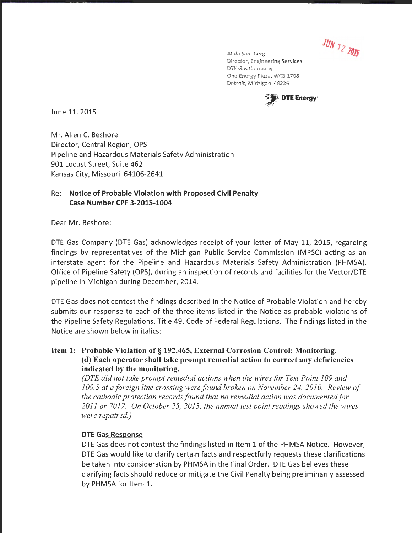JUN 12 2015

Alida Sandberg Director, Engineering Services DTE Gas Company One Energy Plaza, WCB 1708 Detroit, Michigan 48226



June 11, 2015

Mr. Allen C, Beshore Director, Central Region, OPS Pipeline and Hazardous Materials Safety Administration 901 Locust Street, Suite 462 Kansas City, Missouri 64106-2641

#### Re: Notice of Probable Violation with Proposed Civil Penalty Case Number CPF 3-2015-1004

Dear Mr. Beshore:

DTE Gas Company (DTE Gas) acknowledges receipt of your letter of May 11, 2015, regarding findings by representatives of the Michigan Public Service Commission (MPSC) acting as an interstate agent for the Pipeline and Hazardous Materials Safety Administration (PHMSA), Office of Pipeline Safety (OPS), during an inspection of records and facilities for the Vector/DTE pipeline in Michigan during December, 2014.

DTE Gas does not contest the findings described in the Notice of Probable Violation and hereby submits our response to each of the three items listed in the Notice as probable violations of the Pipeline Safety Regulations, Title 49, Code of Federal Regulations. The findings listed in the Notice are shown below in italics:

# Item 1: Probable Violation of§ 192.465, External Corrosion Control: Monitoring. (d) Each operator shall take prompt remedial action to correct any deficiencies indicated by the monitoring.

*(DTE did not take prompt remedial actions when the wires for Test Point I 09 and I* 09.5 at a foreign line crossing were found broken on November 24, 2010. Review of *the cathodic protection records found that no remedial action was documented for 20II or 20I2. On October 25, 20I3, the annual test point readings showed the wires were repaired.)* 

### DTE Gas Response

DTE Gas does not contest the findings listed in Item 1 of the PHMSA Notice. However, DTE Gas would like to clarify certain facts and respectfully requests these clarifications be taken into consideration by PHMSA in the Final Order. DTE Gas believes these clarifying facts should reduce or mitigate the Civil Penalty being preliminarily assessed by PHMSA for Item 1.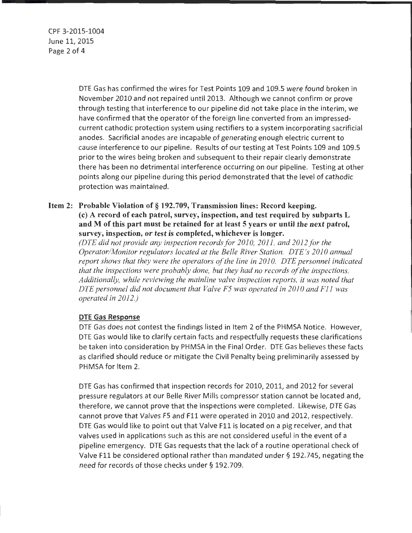CPF 3-2015-1004 June 11, 2015 Page 2 of 4

> DTE Gas has confirmed the wires for Test Points 109 and 109.5 were found broken in November 2010 and not repaired until 2013. Although we cannot confirm or prove through testing that interference to our pipeline did not take place in the interim, we have confirmed that the operator of the foreign line converted from an impressedcurrent cathodic protection system using rectifiers to a system incorporating sacrificial anodes. Sacrificial anodes are incapable of generating enough electric current to cause interference to our pipeline. Results of our testing at Test Points 109 and 109.5 prior to the wires being broken and subsequent to their repair clearly demonstrate there has been no detrimental interference occurring on our pipeline. Testing at other points along our pipeline during this period demonstrated that the level of cathodic protection was maintained.

# Item 2: Probable Violation of§ 192.709, Transmission lines: Record keeping. (c) A record of each patrol, survey, inspection, and test required by subparts L and M of this part must be retained for at least 5 years or until the next patrol, survey, inspection, or test is completed, whichever is longer.

*(DTE did not provide any inspection records for 2010, 2011, and 2012 for the Operator/Monitor regulators located at the Belle River Station. DTE 's 2010 annual report shows that they were the operators of the line in 2010. DTE personnel indicated that the inspections were probably done, but they had no records of the inspections. Additionally, while reviewing the mainline valve inspection reports, it was noted that DTE personnel did not document that Valve F5 was operated in 2010 and F11 was operated in 2012.)* 

### DTE Gas Response

DTE Gas does not contest the findings listed in Item 2 of the PHMSA Notice. However, DTE Gas would like to clarify certain facts and respectfully requests these clarifications be taken into consideration by PHMSA in the Final Order. DTE Gas believes these facts as clarified should reduce or mitigate the Civil Penalty being preliminarily assessed by PHMSA for Item 2.

DTE Gas has confirmed that inspection records for 2010, 2011, and 2012 for several pressure regulators at our Belle River Mills compressor station cannot be located and, therefore, we cannot prove that the inspections were completed. Likewise, DTE Gas cannot prove that Valves F5 and Fll were operated in 2010 and 2012, respectively. DTE Gas would like to point out that Valve F11 is located on a pig receiver, and that valves used in applications such as this are not considered useful in the event of a pipeline emergency. DTE Gas requests that the lack of a routine operational check of Valve F11 be considered optional rather than mandated under§ 192.745, negating the need for records of those checks under § 192.709.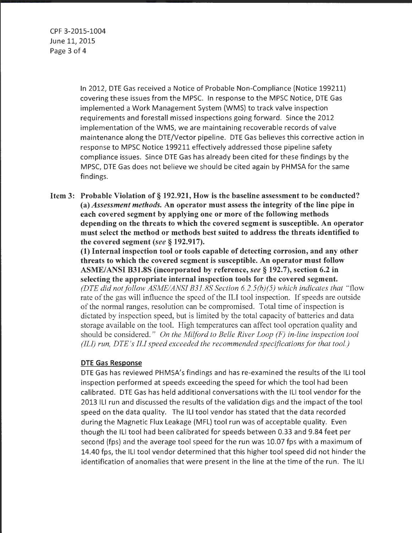CPF 3-2015-1004 June 11, 2015 Page 3 of 4

> In 2012, DTE Gas received a Notice of Probable Non-Compliance (Notice 199211) covering these issues from the MPSC. In response to the MPSC Notice, DTE Gas implemented a Work Management System (WMS) to track valve inspection requirements and forestall missed inspections going forward. Since the 2012 implementation of the WMS, we are maintaining recoverable records of valve maintenance along the DTE/Vector pipeline. DTE Gas believes this corrective action in response to MPSC Notice 199211 effectively addressed those pipeline safety compliance issues. Since DTE Gas has already been cited for these findings by the MPSC, DTE Gas does not believe we should be cited again by PHMSA for the same findings.

Item 3: Probable Violation of§ 192.921, How is the baseline assessment to be conducted? (a) *Assessment methods.* An operator must assess the integrity of the line pipe in each covered segment by applying one or more of the following methods depending on the threats to which the covered segment is susceptible. An operator must select the method or methods best suited to address the threats identified to the covered segment *(see* § 192.917).

(1) Internal inspection tool or tools capable of detecting corrosion, and any other threats to which the covered segment is susceptible. An operator must follow ASME/ANSI B31.8S (incorporated by reference, *see§* 192.7), section 6.2 in selecting the appropriate internal inspection tools for the covered segment. *(DTE did not follow ASME/ANSI B31.8S Section 6.2.5(b)(5) which indicates that "flow* rate of the gas will influence the speed of the ILl tool inspection. If speeds are outside of the normal ranges, resolution can be compromised. Total time of inspection is dictated by inspection speed, but is limited by the total capacity of batteries and data storage available on the tool. High temperatures can affect tool operation quality and should be considered. " *On the Milford to Belle River Loop (F) in-line inspection tool (ILI) run, DTE's ILI speed exceeded the recommended specifications for that tool.)* 

### **DTE** Gas Response

DTE Gas has reviewed PHMSA's findings and has re-examined the results of the ILI tool inspection performed at speeds exceeding the speed for which the tool had been calibrated. DTE Gas has held additional conversations with the Ill tool vendor for the 2013 Ill run and discussed the results of the validation digs and the impact of the tool speed on the data quality. The Ill tool vendor has stated that the data recorded during the Magnetic Flux Leakage (MFL) tool run was of acceptable quality. Even though the Ill tool had been calibrated for speeds between 0.33 and 9.84 feet per second (fps) and the average tool speed for the run was 10.07 fps with a maximum of 14.40 fps, the Ill tool vendor determined that this higher tool speed did not hinder the identification of anomalies that were present in the line at the time of the run. The Ill